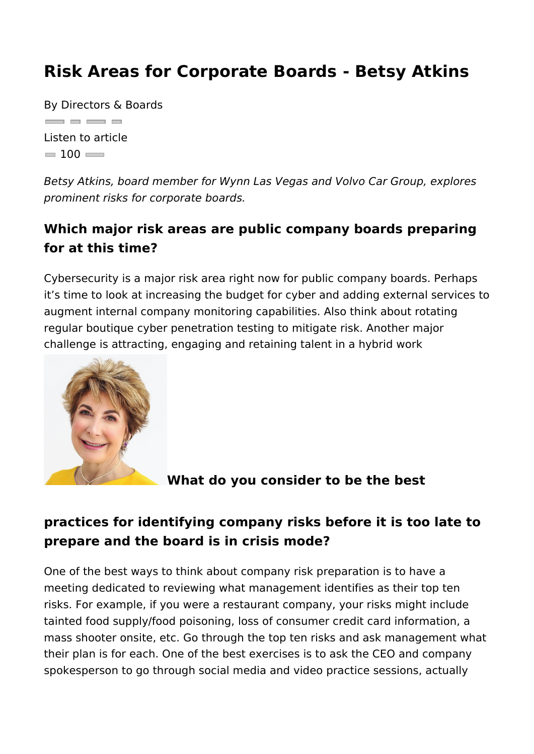Risk Areas for Corporate Boards - Betsy A

By Directors & Boards  $\qquad \qquad \Box$ Listen to article  $= 100$ 

Betsy Atkins, board member for Wynn Las Vegas and Volvo Car prominent risks for corporate boards.

Which major risk areas are public company boards pre for at this time?

Cybersecurity is a major risk area right now for public company it s time to look at increasing the budget for cyber and adding augment internal company monitoring capabilities. Also think ab regular boutique cyber penetration testing to mitigate risk. Ano challenge is attracting, engaging and retaining talent in a hybri environment.

What do you consider to be the best

practices for identifying company risks before it is too prepare and the board is in crisis mode?

One of the best ways to think about company risk preparation is meeting dedicated to reviewing what management identifies as risks. For example, if you were a restaurant company, your risk tainted food supply/food poisoning, loss of consumer credit car mass shooter onsite, etc. Go through the top ten risks and ask their plan is for each. One of the best exercises is to ask the C spokesperson to go through social media and video practice ses